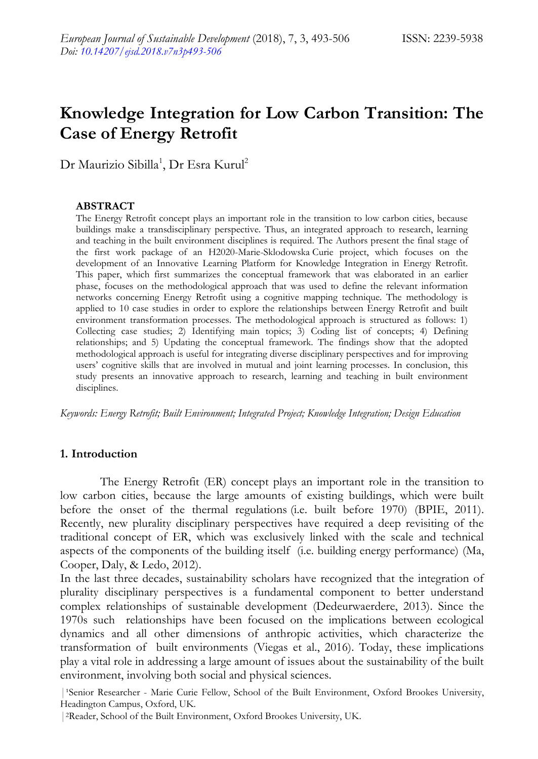# **Knowledge Integration for Low Carbon Transition: The Case of Energy Retrofit**

Dr Maurizio Sibilla<sup>1</sup>, Dr Esra Kurul<sup>2</sup>

#### **ABSTRACT**

The Energy Retrofit concept plays an important role in the transition to low carbon cities, because buildings make a transdisciplinary perspective. Thus, an integrated approach to research, learning and teaching in the built environment disciplines is required. The Authors present the final stage of the first work package of an H2020-Marie-Sklodowska Curie project, which focuses on the development of an Innovative Learning Platform for Knowledge Integration in Energy Retrofit. This paper, which first summarizes the conceptual framework that was elaborated in an earlier phase, focuses on the methodological approach that was used to define the relevant information networks concerning Energy Retrofit using a cognitive mapping technique. The methodology is applied to 10 case studies in order to explore the relationships between Energy Retrofit and built environment transformation processes. The methodological approach is structured as follows: 1) Collecting case studies; 2) Identifying main topics; 3) Coding list of concepts; 4) Defining relationships; and 5) Updating the conceptual framework. The findings show that the adopted methodological approach is useful for integrating diverse disciplinary perspectives and for improving users" cognitive skills that are involved in mutual and joint learning processes. In conclusion, this study presents an innovative approach to research, learning and teaching in built environment disciplines.

*Keywords: Energy Retrofit; Built Environment; Integrated Project; Knowledge Integration; Design Education*

#### **1. Introduction**

The Energy Retrofit (ER) concept plays an important role in the transition to low carbon cities, because the large amounts of existing buildings, which were built before the onset of the thermal regulations (i.e. built before 1970) (BPIE, 2011). Recently, new plurality disciplinary perspectives have required a deep revisiting of the traditional concept of ER, which was exclusively linked with the scale and technical aspects of the components of the building itself (i.e. building energy performance) (Ma, Cooper, Daly, & Ledo, 2012).

In the last three decades, sustainability scholars have recognized that the integration of plurality disciplinary perspectives is a fundamental component to better understand complex relationships of sustainable development (Dedeurwaerdere, 2013). Since the 1970s such relationships have been focused on the implications between ecological dynamics and all other dimensions of anthropic activities, which characterize the transformation of built environments (Viegas et al., 2016). Today, these implications play a vital role in addressing a large amount of issues about the sustainability of the built environment, involving both social and physical sciences.

| 'Senior Researcher - Marie Curie Fellow, School of the Built Environment, Oxford Brookes University, Headington Campus, Oxford, UK.

<sup>|</sup>2Reader, School of the Built Environment, Oxford Brookes University, UK.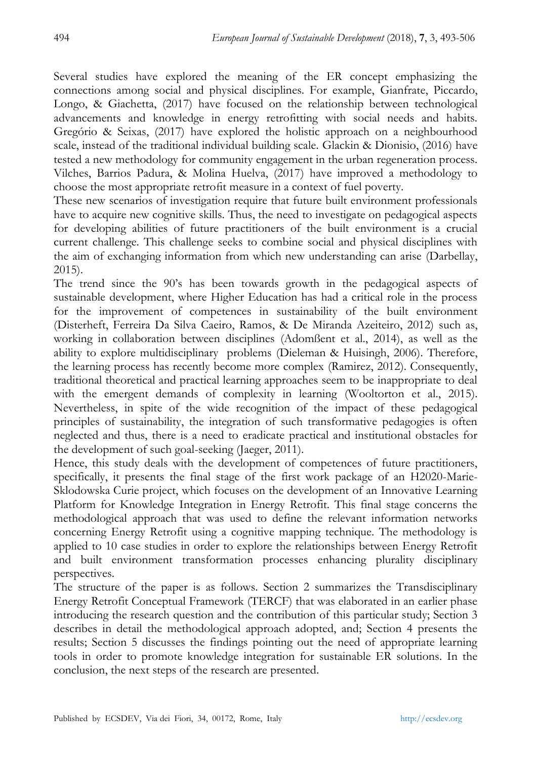Several studies have explored the meaning of the ER concept emphasizing the connections among social and physical disciplines. For example, Gianfrate, Piccardo, Longo, & Giachetta, (2017) have focused on the relationship between technological advancements and knowledge in energy retrofitting with social needs and habits. Gregório & Seixas, (2017) have explored the holistic approach on a neighbourhood scale, instead of the traditional individual building scale. Glackin & Dionisio, (2016) have tested a new methodology for community engagement in the urban regeneration process. Vilches, Barrios Padura, & Molina Huelva, (2017) have improved a methodology to choose the most appropriate retrofit measure in a context of fuel poverty.

These new scenarios of investigation require that future built environment professionals have to acquire new cognitive skills. Thus, the need to investigate on pedagogical aspects for developing abilities of future practitioners of the built environment is a crucial current challenge. This challenge seeks to combine social and physical disciplines with the aim of exchanging information from which new understanding can arise (Darbellay, 2015).

The trend since the 90"s has been towards growth in the pedagogical aspects of sustainable development, where Higher Education has had a critical role in the process for the improvement of competences in sustainability of the built environment (Disterheft, Ferreira Da Silva Caeiro, Ramos, & De Miranda Azeiteiro, 2012) such as, working in collaboration between disciplines (Adomßent et al., 2014), as well as the ability to explore multidisciplinary problems (Dieleman & Huisingh, 2006). Therefore, the learning process has recently become more complex (Ramirez, 2012). Consequently, traditional theoretical and practical learning approaches seem to be inappropriate to deal with the emergent demands of complexity in learning (Wooltorton et al., 2015). Nevertheless, in spite of the wide recognition of the impact of these pedagogical principles of sustainability, the integration of such transformative pedagogies is often neglected and thus, there is a need to eradicate practical and institutional obstacles for the development of such goal-seeking (Jaeger, 2011).

Hence, this study deals with the development of competences of future practitioners, specifically, it presents the final stage of the first work package of an H2020-Marie-Sklodowska Curie project, which focuses on the development of an Innovative Learning Platform for Knowledge Integration in Energy Retrofit. This final stage concerns the methodological approach that was used to define the relevant information networks concerning Energy Retrofit using a cognitive mapping technique. The methodology is applied to 10 case studies in order to explore the relationships between Energy Retrofit and built environment transformation processes enhancing plurality disciplinary perspectives.

The structure of the paper is as follows. Section 2 summarizes the Transdisciplinary Energy Retrofit Conceptual Framework (TERCF) that was elaborated in an earlier phase introducing the research question and the contribution of this particular study; Section 3 describes in detail the methodological approach adopted, and; Section 4 presents the results; Section 5 discusses the findings pointing out the need of appropriate learning tools in order to promote knowledge integration for sustainable ER solutions. In the conclusion, the next steps of the research are presented.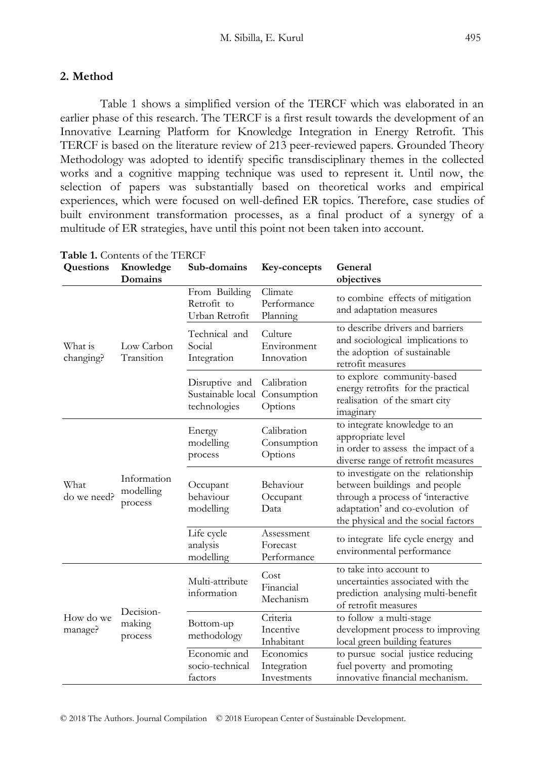## **2. Method**

Table 1 shows a simplified version of the TERCF which was elaborated in an earlier phase of this research. The TERCF is a first result towards the development of an Innovative Learning Platform for Knowledge Integration in Energy Retrofit. This TERCF is based on the literature review of 213 peer-reviewed papers. Grounded Theory Methodology was adopted to identify specific transdisciplinary themes in the collected works and a cognitive mapping technique was used to represent it. Until now, the selection of papers was substantially based on theoretical works and empirical experiences, which were focused on well-defined ER topics. Therefore, case studies of built environment transformation processes, as a final product of a synergy of a multitude of ER strategies, have until this point not been taken into account.

| Questions            | Knowledge<br>Domains                | Sub-domains                                         | Key-concepts                            | General<br>objectives                                                                                                                                                             |
|----------------------|-------------------------------------|-----------------------------------------------------|-----------------------------------------|-----------------------------------------------------------------------------------------------------------------------------------------------------------------------------------|
| What is<br>changing? | Low Carbon<br>Transition            | From Building<br>Retrofit to<br>Urban Retrofit      | Climate<br>Performance<br>Planning      | to combine effects of mitigation<br>and adaptation measures                                                                                                                       |
|                      |                                     | Technical and<br>Social<br>Integration              | Culture<br>Environment<br>Innovation    | to describe drivers and barriers<br>and sociological implications to<br>the adoption of sustainable<br>retrofit measures                                                          |
|                      |                                     | Disruptive and<br>Sustainable local<br>technologies | Calibration<br>Consumption<br>Options   | to explore community-based<br>energy retrofits for the practical<br>realisation of the smart city<br>imaginary                                                                    |
| What<br>do we need?  | Information<br>modelling<br>process | Energy<br>modelling<br>process                      | Calibration<br>Consumption<br>Options   | to integrate knowledge to an<br>appropriate level<br>in order to assess the impact of a<br>diverse range of retrofit measures                                                     |
|                      |                                     | Occupant<br>behaviour<br>modelling                  | Behaviour<br>Occupant<br>Data           | to investigate on the relationship<br>between buildings and people<br>through a process of 'interactive<br>adaptation' and co-evolution of<br>the physical and the social factors |
|                      |                                     | Life cycle<br>analysis<br>modelling                 | Assessment<br>Forecast<br>Performance   | to integrate life cycle energy and<br>environmental performance                                                                                                                   |
| How do we<br>manage? | Decision-<br>making<br>process      | Multi-attribute<br>information                      | Cost<br>Financial<br>Mechanism          | to take into account to<br>uncertainties associated with the<br>prediction analysing multi-benefit<br>of retrofit measures                                                        |
|                      |                                     | Bottom-up<br>methodology                            | Criteria<br>Incentive<br>Inhabitant     | to follow a multi-stage<br>development process to improving<br>local green building features                                                                                      |
|                      |                                     | Economic and<br>socio-technical<br>factors          | Economics<br>Integration<br>Investments | to pursue social justice reducing<br>fuel poverty and promoting<br>innovative financial mechanism.                                                                                |

**Table 1.** Contents of the TERCF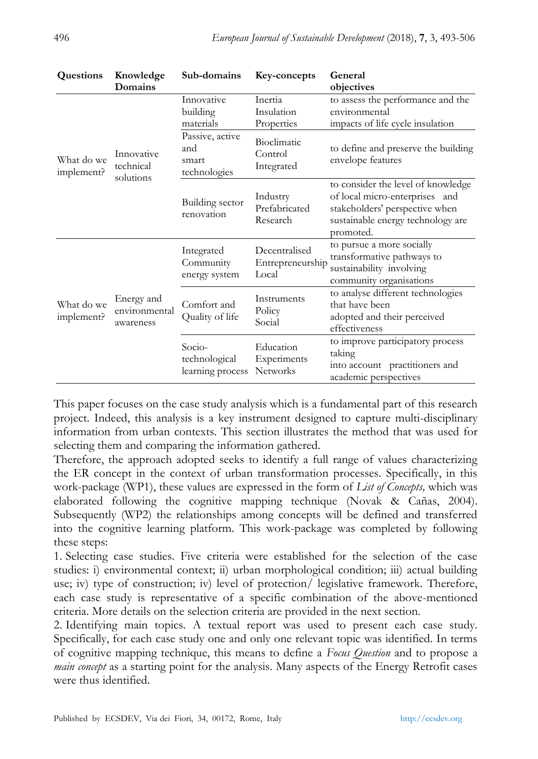| Questions                | Knowledge<br>Domains                     | Sub-domains                                     | Key-concepts                               | General<br>objectives                                                                                                                                    |
|--------------------------|------------------------------------------|-------------------------------------------------|--------------------------------------------|----------------------------------------------------------------------------------------------------------------------------------------------------------|
| What do we<br>implement? | Innovative<br>technical<br>solutions     | Innovative<br>building<br>materials             | Inertia<br>Insulation<br>Properties        | to assess the performance and the<br>environmental<br>impacts of life cycle insulation                                                                   |
|                          |                                          | Passive, active<br>and<br>smart<br>technologies | Bioclimatic<br>Control<br>Integrated       | to define and preserve the building<br>envelope features                                                                                                 |
|                          |                                          | Building sector<br>renovation                   | Industry<br>Prefabricated<br>Research      | to consider the level of knowledge<br>of local micro-enterprises and<br>stakeholders' perspective when<br>sustainable energy technology are<br>promoted. |
| What do we<br>implement? | Energy and<br>environmental<br>awareness | Integrated<br>Community<br>energy system        | Decentralised<br>Entrepreneurship<br>Local | to pursue a more socially<br>transformative pathways to<br>sustainability involving<br>community organisations                                           |
|                          |                                          | Comfort and<br>Quality of life                  | Instruments<br>Policy<br>Social            | to analyse different technologies<br>that have been<br>adopted and their perceived<br>effectiveness                                                      |
|                          |                                          | Socio-<br>technological<br>learning process     | Education<br>Experiments<br>Networks       | to improve participatory process<br>taking<br>into account practitioners and<br>academic perspectives                                                    |

This paper focuses on the case study analysis which is a fundamental part of this research project. Indeed, this analysis is a key instrument designed to capture multi-disciplinary information from urban contexts. This section illustrates the method that was used for selecting them and comparing the information gathered.

Therefore, the approach adopted seeks to identify a full range of values characterizing the ER concept in the context of urban transformation processes. Specifically, in this work-package (WP1), these values are expressed in the form of *List of Concepts,* which was elaborated following the cognitive mapping technique (Novak & Cañas, 2004). Subsequently (WP2) the relationships among concepts will be defined and transferred into the cognitive learning platform. This work-package was completed by following these steps:

1. Selecting case studies. Five criteria were established for the selection of the case studies: i) environmental context; ii) urban morphological condition; iii) actual building use; iv) type of construction; iv) level of protection/ legislative framework. Therefore, each case study is representative of a specific combination of the above-mentioned criteria. More details on the selection criteria are provided in the next section.

2. Identifying main topics. A textual report was used to present each case study. Specifically, for each case study one and only one relevant topic was identified. In terms of cognitive mapping technique, this means to define a *Focus Question* and to propose a *main concept* as a starting point for the analysis. Many aspects of the Energy Retrofit cases were thus identified.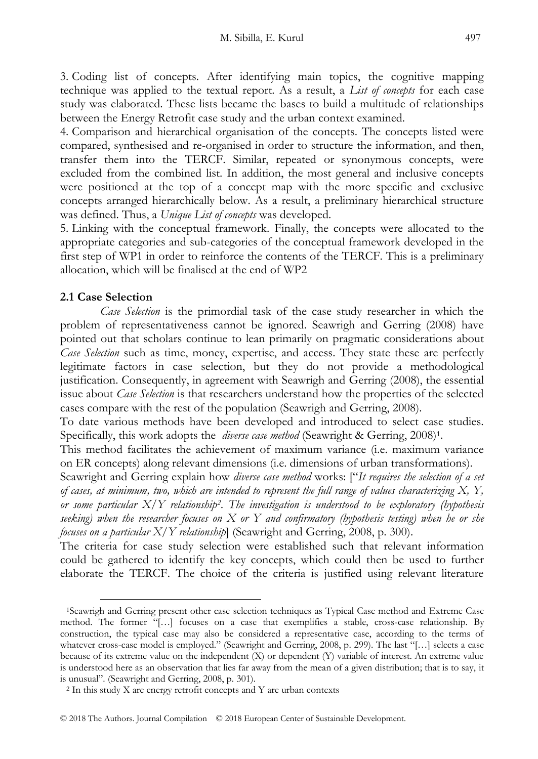3. Coding list of concepts. After identifying main topics, the cognitive mapping technique was applied to the textual report. As a result, a *List of concepts* for each case study was elaborated. These lists became the bases to build a multitude of relationships between the Energy Retrofit case study and the urban context examined.

4. Comparison and hierarchical organisation of the concepts. The concepts listed were compared, synthesised and re-organised in order to structure the information, and then, transfer them into the TERCF. Similar, repeated or synonymous concepts, were excluded from the combined list. In addition, the most general and inclusive concepts were positioned at the top of a concept map with the more specific and exclusive concepts arranged hierarchically below. As a result, a preliminary hierarchical structure was defined. Thus, a *Unique List of concepts* was developed.

5. Linking with the conceptual framework. Finally, the concepts were allocated to the appropriate categories and sub-categories of the conceptual framework developed in the first step of WP1 in order to reinforce the contents of the TERCF. This is a preliminary allocation, which will be finalised at the end of WP2

## **2.1 Case Selection**

-

*Case Selection* is the primordial task of the case study researcher in which the problem of representativeness cannot be ignored. Seawrigh and Gerring (2008) have pointed out that scholars continue to lean primarily on pragmatic considerations about *Case Selection* such as time, money, expertise, and access. They state these are perfectly legitimate factors in case selection, but they do not provide a methodological justification. Consequently, in agreement with Seawrigh and Gerring (2008), the essential issue about *Case Selection* is that researchers understand how the properties of the selected cases compare with the rest of the population (Seawrigh and Gerring, 2008).

To date various methods have been developed and introduced to select case studies. Specifically, this work adopts the *diverse case method* (Seawright & Gerring, 2008)<sup>1</sup>.

This method facilitates the achievement of maximum variance (i.e. maximum variance on ER concepts) along relevant dimensions (i.e. dimensions of urban transformations).

Seawright and Gerring explain how *diverse case method* works: ["*It requires the selection of a set of cases, at minimum, two, which are intended to represent the full range of values characterizing X, Y, or some particular X/Y relationship<sup>2</sup> . The investigation is understood to be exploratory (hypothesis seeking) when the researcher focuses on X or Y and confirmatory (hypothesis testing) when he or she focuses on a particular X/Y relationship*] (Seawright and Gerring, 2008, p. 300).

The criteria for case study selection were established such that relevant information could be gathered to identify the key concepts, which could then be used to further elaborate the TERCF. The choice of the criteria is justified using relevant literature

<sup>1</sup>Seawrigh and Gerring present other case selection techniques as Typical Case method and Extreme Case method. The former "[…] focuses on a case that exemplifies a stable, cross-case relationship. By construction, the typical case may also be considered a representative case, according to the terms of whatever cross-case model is employed." (Seawright and Gerring, 2008, p. 299). The last "[…] selects a case because of its extreme value on the independent (X) or dependent (Y) variable of interest. An extreme value is understood here as an observation that lies far away from the mean of a given distribution; that is to say, it is unusual". (Seawright and Gerring, 2008, p. 301).

<sup>2</sup> In this study X are energy retrofit concepts and Y are urban contexts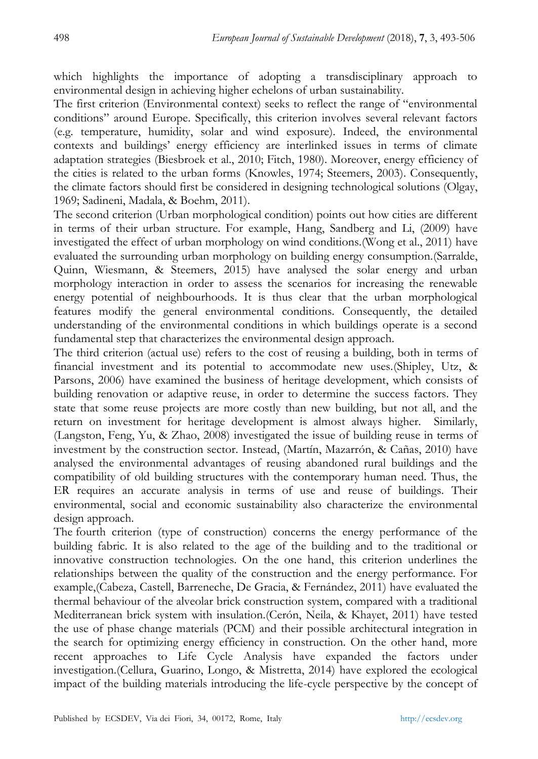which highlights the importance of adopting a transdisciplinary approach to environmental design in achieving higher echelons of urban sustainability.

The first criterion (Environmental context) seeks to reflect the range of "environmental conditions" around Europe. Specifically, this criterion involves several relevant factors (e.g. temperature, humidity, solar and wind exposure). Indeed, the environmental contexts and buildings" energy efficiency are interlinked issues in terms of climate adaptation strategies (Biesbroek et al., 2010; Fitch, 1980). Moreover, energy efficiency of the cities is related to the urban forms (Knowles, 1974; Steemers, 2003). Consequently, the climate factors should first be considered in designing technological solutions (Olgay, 1969; Sadineni, Madala, & Boehm, 2011).

The second criterion (Urban morphological condition) points out how cities are different in terms of their urban structure. For example, Hang, Sandberg and Li, (2009) have investigated the effect of urban morphology on wind conditions.(Wong et al., 2011) have evaluated the surrounding urban morphology on building energy consumption.(Sarralde, Quinn, Wiesmann, & Steemers, 2015) have analysed the solar energy and urban morphology interaction in order to assess the scenarios for increasing the renewable energy potential of neighbourhoods. It is thus clear that the urban morphological features modify the general environmental conditions. Consequently, the detailed understanding of the environmental conditions in which buildings operate is a second fundamental step that characterizes the environmental design approach.

The third criterion (actual use) refers to the cost of reusing a building, both in terms of financial investment and its potential to accommodate new uses.(Shipley, Utz, & Parsons, 2006) have examined the business of heritage development, which consists of building renovation or adaptive reuse, in order to determine the success factors. They state that some reuse projects are more costly than new building, but not all, and the return on investment for heritage development is almost always higher. Similarly, (Langston, Feng, Yu, & Zhao, 2008) investigated the issue of building reuse in terms of investment by the construction sector. Instead, (Martín, Mazarrón, & Cañas, 2010) have analysed the environmental advantages of reusing abandoned rural buildings and the compatibility of old building structures with the contemporary human need. Thus, the ER requires an accurate analysis in terms of use and reuse of buildings. Their environmental, social and economic sustainability also characterize the environmental design approach.

The fourth criterion (type of construction) concerns the energy performance of the building fabric. It is also related to the age of the building and to the traditional or innovative construction technologies. On the one hand, this criterion underlines the relationships between the quality of the construction and the energy performance. For example,(Cabeza, Castell, Barreneche, De Gracia, & Fernández, 2011) have evaluated the thermal behaviour of the alveolar brick construction system, compared with a traditional Mediterranean brick system with insulation.(Cerón, Neila, & Khayet, 2011) have tested the use of phase change materials (PCM) and their possible architectural integration in the search for optimizing energy efficiency in construction. On the other hand, more recent approaches to Life Cycle Analysis have expanded the factors under investigation.(Cellura, Guarino, Longo, & Mistretta, 2014) have explored the ecological impact of the building materials introducing the life-cycle perspective by the concept of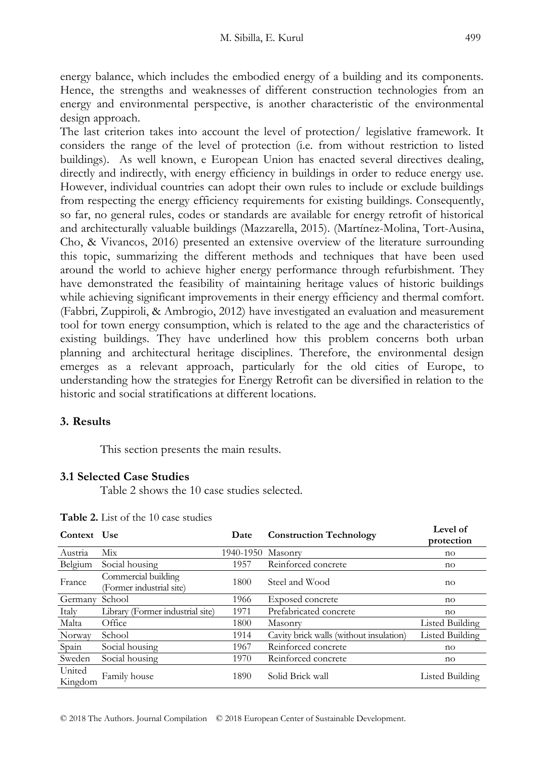energy balance, which includes the embodied energy of a building and its components. Hence, the strengths and weaknesses of different construction technologies from an energy and environmental perspective, is another characteristic of the environmental design approach.

The last criterion takes into account the level of protection/ legislative framework. It considers the range of the level of protection (i.e. from without restriction to listed buildings). As well known, e European Union has enacted several directives dealing, directly and indirectly, with energy efficiency in buildings in order to reduce energy use. However, individual countries can adopt their own rules to include or exclude buildings from respecting the energy efficiency requirements for existing buildings. Consequently, so far, no general rules, codes or standards are available for energy retrofit of historical and architecturally valuable buildings (Mazzarella, 2015). (Martínez-Molina, Tort-Ausina, Cho, & Vivancos, 2016) presented an extensive overview of the literature surrounding this topic, summarizing the different methods and techniques that have been used around the world to achieve higher energy performance through refurbishment. They have demonstrated the feasibility of maintaining heritage values of historic buildings while achieving significant improvements in their energy efficiency and thermal comfort. (Fabbri, Zuppiroli, & Ambrogio, 2012) have investigated an evaluation and measurement tool for town energy consumption, which is related to the age and the characteristics of existing buildings. They have underlined how this problem concerns both urban planning and architectural heritage disciplines. Therefore, the environmental design emerges as a relevant approach, particularly for the old cities of Europe, to understanding how the strategies for Energy Retrofit can be diversified in relation to the historic and social stratifications at different locations.

## **3. Results**

This section presents the main results.

## **3.1 Selected Case Studies**

Table 2 shows the 10 case studies selected.

| Context           | <b>Use</b>                                      | Date      | <b>Construction Technology</b>          | Level of<br>protection |
|-------------------|-------------------------------------------------|-----------|-----------------------------------------|------------------------|
| Austria           | Mix                                             | 1940-1950 | Masonry                                 | no                     |
| Belgium           | Social housing                                  | 1957      | Reinforced concrete                     | no                     |
| France            | Commercial building<br>(Former industrial site) | 1800      | Steel and Wood                          | no                     |
| Germany           | School                                          | 1966      | Exposed concrete                        | no                     |
| Italy             | Library (Former industrial site)                | 1971      | Prefabricated concrete                  | no                     |
| Malta             | Office                                          | 1800      | Masonry                                 | Listed Building        |
| Norway            | School                                          | 1914      | Cavity brick walls (without insulation) | <b>Listed Building</b> |
| Spain             | Social housing                                  | 1967      | Reinforced concrete                     | no                     |
| Sweden            | Social housing                                  | 1970      | Reinforced concrete                     | no                     |
| United<br>Kingdom | Family house                                    | 1890      | Solid Brick wall                        | Listed Building        |

**Table 2.** List of the 10 case studies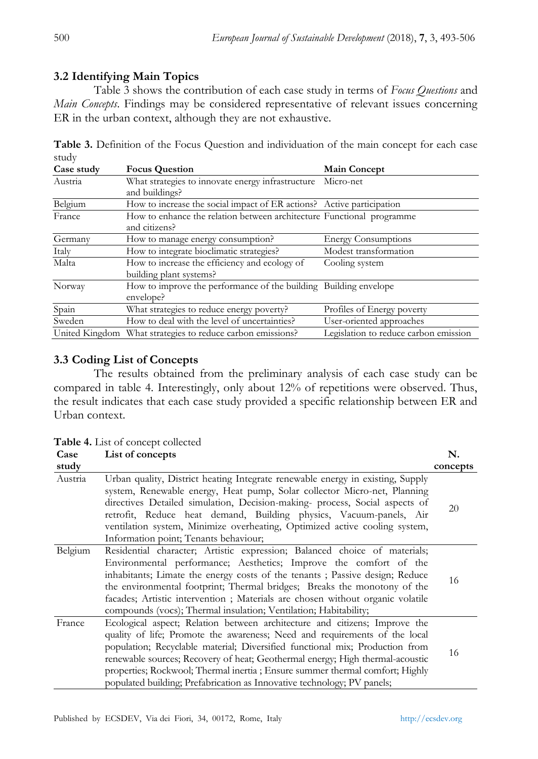## **3.2 Identifying Main Topics**

Table 3 shows the contribution of each case study in terms of *Focus Questions* and *Main Concepts*. Findings may be considered representative of relevant issues concerning ER in the urban context, although they are not exhaustive.

| stuay      |                                                                                        |                                       |  |
|------------|----------------------------------------------------------------------------------------|---------------------------------------|--|
| Case study | <b>Focus Question</b>                                                                  | <b>Main Concept</b>                   |  |
| Austria    | What strategies to innovate energy infrastructure<br>and buildings?                    | Micro-net                             |  |
| Belgium    | How to increase the social impact of ER actions? Active participation                  |                                       |  |
| France     | How to enhance the relation between architecture Functional programme<br>and citizens? |                                       |  |
| Germany    | How to manage energy consumption?                                                      | <b>Energy Consumptions</b>            |  |
| Italy      | How to integrate bioclimatic strategies?                                               | Modest transformation                 |  |
| Malta      | How to increase the efficiency and ecology of<br>building plant systems?               | Cooling system                        |  |
| Norway     | How to improve the performance of the building Building envelope<br>envelope?          |                                       |  |
| Spain      | What strategies to reduce energy poverty?                                              | Profiles of Energy poverty            |  |
| Sweden     | How to deal with the level of uncertainties?                                           | User-oriented approaches              |  |
|            | United Kingdom What strategies to reduce carbon emissions?                             | Legislation to reduce carbon emission |  |

**Table 3.** Definition of the Focus Question and individuation of the main concept for each case study

## **3.3 Coding List of Concepts**

The results obtained from the preliminary analysis of each case study can be compared in table 4. Interestingly, only about 12% of repetitions were observed. Thus, the result indicates that each case study provided a specific relationship between ER and Urban context.

**Table 4.** List of concept collected

| Case    | List of concepts                                                                                                                                                                                                                                                                                                                                                                                                                                                                      |          |  |
|---------|---------------------------------------------------------------------------------------------------------------------------------------------------------------------------------------------------------------------------------------------------------------------------------------------------------------------------------------------------------------------------------------------------------------------------------------------------------------------------------------|----------|--|
| study   |                                                                                                                                                                                                                                                                                                                                                                                                                                                                                       | concepts |  |
| Austria | Urban quality, District heating Integrate renewable energy in existing, Supply<br>system, Renewable energy, Heat pump, Solar collector Micro-net, Planning<br>directives Detailed simulation, Decision-making- process, Social aspects of<br>retrofit, Reduce heat demand, Building physics, Vacuum-panels, Air<br>ventilation system, Minimize overheating, Optimized active cooling system,<br>Information point; Tenants behaviour;                                                | 20       |  |
| Belgium | Residential character; Artistic expression; Balanced choice of materials;<br>Environmental performance; Aesthetics; Improve the comfort of the<br>inhabitants; Limate the energy costs of the tenants; Passive design; Reduce<br>the environmental footprint; Thermal bridges; Breaks the monotony of the<br>facades; Artistic intervention; Materials are chosen without organic volatile<br>compounds (vocs); Thermal insulation; Ventilation; Habitability;                        | 16       |  |
| France  | Ecological aspect; Relation between architecture and citizens; Improve the<br>quality of life; Promote the awareness; Need and requirements of the local<br>population; Recyclable material; Diversified functional mix; Production from<br>renewable sources; Recovery of heat; Geothermal energy; High thermal-acoustic<br>properties; Rockwool; Thermal inertia ; Ensure summer thermal comfort; Highly<br>populated building; Prefabrication as Innovative technology; PV panels; | 16       |  |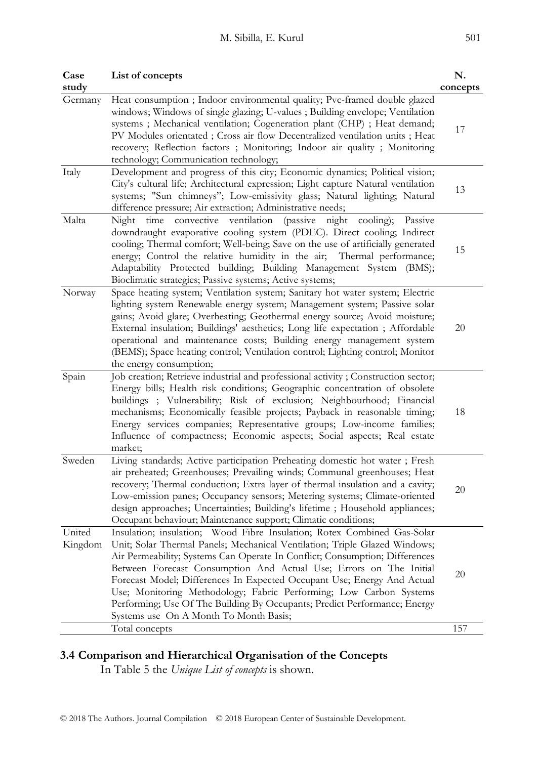| Case<br>study     | List of concepts                                                                                                                                                                                                                                                                                                                                                                                                                                                                                                                                                                   | N.<br>concepts |
|-------------------|------------------------------------------------------------------------------------------------------------------------------------------------------------------------------------------------------------------------------------------------------------------------------------------------------------------------------------------------------------------------------------------------------------------------------------------------------------------------------------------------------------------------------------------------------------------------------------|----------------|
| Germany           | Heat consumption ; Indoor environmental quality; Pvc-framed double glazed<br>windows; Windows of single glazing; U-values ; Building envelope; Ventilation<br>systems; Mechanical ventilation; Cogeneration plant (CHP); Heat demand;<br>PV Modules orientated ; Cross air flow Decentralized ventilation units ; Heat<br>recovery; Reflection factors ; Monitoring; Indoor air quality ; Monitoring<br>technology; Communication technology;                                                                                                                                      | 17             |
| Italy             | Development and progress of this city; Economic dynamics; Political vision;<br>City's cultural life; Architectural expression; Light capture Natural ventilation<br>systems; "Sun chimneys"; Low-emissivity glass; Natural lighting; Natural<br>difference pressure; Air extraction; Administrative needs;                                                                                                                                                                                                                                                                         | 13             |
| Malta             | ventilation<br>time<br>convective<br>(passive)<br>night<br>$\{cooling\};$<br>Night<br>Passive<br>downdraught evaporative cooling system (PDEC). Direct cooling; Indirect<br>cooling; Thermal comfort; Well-being; Save on the use of artificially generated<br>energy; Control the relative humidity in the air; Thermal performance;<br>Adaptability Protected building; Building Management System (BMS);<br>Bioclimatic strategies; Passive systems; Active systems;                                                                                                            | 15             |
| Norway            | Space heating system; Ventilation system; Sanitary hot water system; Electric<br>lighting system Renewable energy system; Management system; Passive solar<br>gains; Avoid glare; Overheating; Geothermal energy source; Avoid moisture;<br>External insulation; Buildings' aesthetics; Long life expectation ; Affordable<br>operational and maintenance costs; Building energy management system<br>(BEMS); Space heating control; Ventilation control; Lighting control; Monitor                                                                                                | 20             |
| Spain             | the energy consumption;<br>Job creation; Retrieve industrial and professional activity; Construction sector;<br>Energy bills; Health risk conditions; Geographic concentration of obsolete<br>buildings ; Vulnerability; Risk of exclusion; Neighbourhood; Financial<br>mechanisms; Economically feasible projects; Payback in reasonable timing;<br>Energy services companies; Representative groups; Low-income families;<br>Influence of compactness; Economic aspects; Social aspects; Real estate<br>market;                                                                  | 18             |
| Sweden            | Living standards; Active participation Preheating domestic hot water ; Fresh<br>air preheated; Greenhouses; Prevailing winds; Communal greenhouses; Heat<br>recovery; Thermal conduction; Extra layer of thermal insulation and a cavity;<br>Low-emission panes; Occupancy sensors; Metering systems; Climate-oriented<br>design approaches; Uncertainties; Building's lifetime ; Household appliances;<br>Occupant behaviour; Maintenance support; Climatic conditions;                                                                                                           | 20             |
| United<br>Kingdom | Insulation; insulation; Wood Fibre Insulation; Rotex Combined Gas-Solar<br>Unit; Solar Thermal Panels; Mechanical Ventilation; Triple Glazed Windows;<br>Air Permeability; Systems Can Operate In Conflict; Consumption; Differences<br>Between Forecast Consumption And Actual Use; Errors on The Initial<br>Forecast Model; Differences In Expected Occupant Use; Energy And Actual<br>Use; Monitoring Methodology; Fabric Performing; Low Carbon Systems<br>Performing; Use Of The Building By Occupants; Predict Performance; Energy<br>Systems use On A Month To Month Basis; | 20             |
|                   | Total concepts                                                                                                                                                                                                                                                                                                                                                                                                                                                                                                                                                                     | 157            |

## **3.4 Comparison and Hierarchical Organisation of the Concepts**

In Table 5 the *Unique List of concepts* is shown.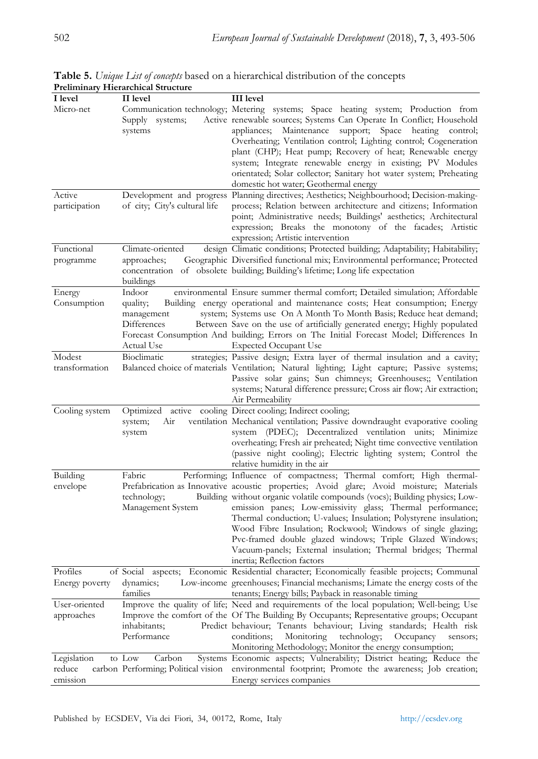| I level                           | II level                                                      | <b>III</b> level                                                                                                                                                                                                                                                                                                                                                                                                                                                                                                                                                                                            |
|-----------------------------------|---------------------------------------------------------------|-------------------------------------------------------------------------------------------------------------------------------------------------------------------------------------------------------------------------------------------------------------------------------------------------------------------------------------------------------------------------------------------------------------------------------------------------------------------------------------------------------------------------------------------------------------------------------------------------------------|
| Micro-net                         | Supply systems;<br>systems                                    | Communication technology; Metering systems; Space heating system; Production from<br>Active renewable sources; Systems Can Operate In Conflict; Household<br>appliances; Maintenance support; Space heating control;<br>Overheating; Ventilation control; Lighting control; Cogeneration<br>plant (CHP); Heat pump; Recovery of heat; Renewable energy<br>system; Integrate renewable energy in existing; PV Modules<br>orientated; Solar collector; Sanitary hot water system; Preheating<br>domestic hot water; Geothermal energy                                                                         |
| Active<br>participation           | of city; City's cultural life                                 | Development and progress Planning directives; Aesthetics; Neighbourhood; Decision-making-<br>process; Relation between architecture and citizens; Information<br>point; Administrative needs; Buildings' aesthetics; Architectural<br>expression; Breaks the monotony of the facades; Artistic<br>expression; Artistic intervention                                                                                                                                                                                                                                                                         |
| Functional<br>programme           | Climate-oriented<br>approaches;<br>buildings                  | design Climatic conditions; Protected building; Adaptability; Habitability;<br>Geographic Diversified functional mix; Environmental performance; Protected<br>concentration of obsolete building; Building's lifetime; Long life expectation                                                                                                                                                                                                                                                                                                                                                                |
| Energy<br>Consumption             | Indoor<br>quality;<br>management<br>Differences<br>Actual Use | environmental Ensure summer thermal comfort; Detailed simulation; Affordable<br>Building energy operational and maintenance costs; Heat consumption; Energy<br>system; Systems use On A Month To Month Basis; Reduce heat demand;<br>Between Save on the use of artificially generated energy; Highly populated<br>Forecast Consumption And building; Errors on The Initial Forecast Model; Differences In<br><b>Expected Occupant Use</b>                                                                                                                                                                  |
| Modest<br>transformation          | Bioclimatic                                                   | strategies; Passive design; Extra layer of thermal insulation and a cavity;<br>Balanced choice of materials Ventilation; Natural lighting; Light capture; Passive systems;<br>Passive solar gains; Sun chimneys; Greenhouses;; Ventilation<br>systems; Natural difference pressure; Cross air flow; Air extraction;<br>Air Permeability                                                                                                                                                                                                                                                                     |
| Cooling system                    | system;<br>Air<br>system                                      | Optimized active cooling Direct cooling; Indirect cooling;<br>ventilation Mechanical ventilation; Passive downdraught evaporative cooling<br>system (PDEC); Decentralized ventilation units; Minimize<br>overheating; Fresh air preheated; Night time convective ventilation<br>(passive night cooling); Electric lighting system; Control the<br>relative humidity in the air                                                                                                                                                                                                                              |
| Building<br>envelope              | Fabric<br>technology;<br>Management System                    | Performing; Influence of compactness; Thermal comfort; High thermal-<br>Prefabrication as Innovative acoustic properties; Avoid glare; Avoid moisture; Materials<br>Building without organic volatile compounds (vocs); Building physics; Low-<br>emission panes; Low-emissivity glass; Thermal performance;<br>Thermal conduction; U-values; Insulation; Polystyrene insulation;<br>Wood Fibre Insulation; Rockwool; Windows of single glazing;<br>Pvc-framed double glazed windows; Triple Glazed Windows;<br>Vacuum-panels; External insulation; Thermal bridges; Thermal<br>inertia; Reflection factors |
| Profiles<br>Energy poverty        | dynamics;<br>tamilies                                         | of Social aspects; Economic Residential character; Economically feasible projects; Communal<br>Low-income greenhouses; Financial mechanisms; Limate the energy costs of the<br>tenants; Energy bills; Payback in reasonable timing                                                                                                                                                                                                                                                                                                                                                                          |
| User-oriented<br>approaches       | inhabitants;<br>Performance                                   | Improve the quality of life; Need and requirements of the local population; Well-being; Use<br>Improve the comfort of the Of The Building By Occupants; Representative groups; Occupant<br>Predict behaviour; Tenants behaviour; Living standards; Health risk<br>conditions;<br>Monitoring<br>technology;<br>Occupancy<br>sensors;<br>Monitoring Methodology; Monitor the energy consumption;                                                                                                                                                                                                              |
| Legislation<br>reduce<br>emission | Carbon<br>to Low<br>carbon Performing; Political vision       | Systems Economic aspects; Vulnerability; District heating; Reduce the<br>environmental footprint; Promote the awareness; Job creation;<br>Energy services companies                                                                                                                                                                                                                                                                                                                                                                                                                                         |

**Table 5.** *Unique List of concepts* based on a hierarchical distribution of the concepts **Preliminary Hierarchical Structure**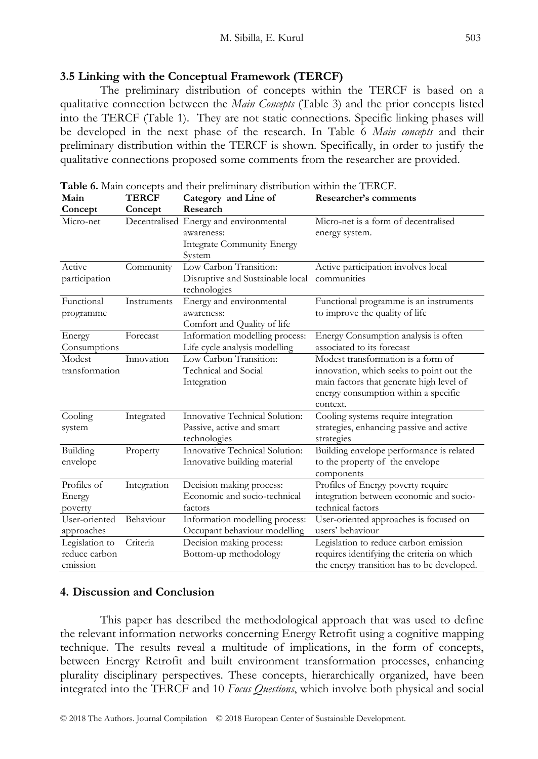#### **3.5 Linking with the Conceptual Framework (TERCF)**

The preliminary distribution of concepts within the TERCF is based on a qualitative connection between the *Main Concepts* (Table 3) and the prior concepts listed into the TERCF (Table 1). They are not static connections. Specific linking phases will be developed in the next phase of the research. In Table 6 *Main concepts* and their preliminary distribution within the TERCF is shown. Specifically, in order to justify the qualitative connections proposed some comments from the researcher are provided.

| Main<br><b>TERCF</b>                        |             | Category and Line of                                                                         | Researcher's comments                                                                                                                                                          |  |
|---------------------------------------------|-------------|----------------------------------------------------------------------------------------------|--------------------------------------------------------------------------------------------------------------------------------------------------------------------------------|--|
| Concept                                     | Concept     | Research                                                                                     |                                                                                                                                                                                |  |
| Micro-net                                   |             | Decentralised Energy and environmental<br>awareness:<br>Integrate Community Energy<br>System | Micro-net is a form of decentralised<br>energy system.                                                                                                                         |  |
| Active<br>participation                     | Community   | Low Carbon Transition:<br>Disruptive and Sustainable local<br>technologies                   | Active participation involves local<br>communities                                                                                                                             |  |
| Functional<br>programme                     | Instruments | Energy and environmental<br>awareness:<br>Comfort and Quality of life                        | Functional programme is an instruments<br>to improve the quality of life                                                                                                       |  |
| Energy<br>Consumptions                      | Forecast    | Information modelling process:<br>Life cycle analysis modelling                              | Energy Consumption analysis is often<br>associated to its forecast                                                                                                             |  |
| Modest<br>transformation                    | Innovation  | Low Carbon Transition:<br>Technical and Social<br>Integration                                | Modest transformation is a form of<br>innovation, which seeks to point out the<br>main factors that generate high level of<br>energy consumption within a specific<br>context. |  |
| Cooling<br>system                           | Integrated  | Innovative Technical Solution:<br>Passive, active and smart<br>technologies                  | Cooling systems require integration<br>strategies, enhancing passive and active<br>strategies                                                                                  |  |
| Building<br>envelope                        | Property    | Innovative Technical Solution:<br>Innovative building material                               | Building envelope performance is related<br>to the property of the envelope<br>components                                                                                      |  |
| Profiles of<br>Energy<br>poverty            | Integration | Decision making process:<br>Economic and socio-technical<br>factors                          | Profiles of Energy poverty require<br>integration between economic and socio-<br>technical factors                                                                             |  |
| User-oriented<br>approaches                 | Behaviour   | Information modelling process:<br>Occupant behaviour modelling                               | User-oriented approaches is focused on<br>users' behaviour                                                                                                                     |  |
| Legislation to<br>reduce carbon<br>emission | Criteria    | Decision making process:<br>Bottom-up methodology                                            | Legislation to reduce carbon emission<br>requires identifying the criteria on which<br>the energy transition has to be developed.                                              |  |

**Table 6.** Main concepts and their preliminary distribution within the TERCF.

#### **4. Discussion and Conclusion**

This paper has described the methodological approach that was used to define the relevant information networks concerning Energy Retrofit using a cognitive mapping technique. The results reveal a multitude of implications, in the form of concepts, between Energy Retrofit and built environment transformation processes, enhancing plurality disciplinary perspectives. These concepts, hierarchically organized, have been integrated into the TERCF and 10 *Focus Questions*, which involve both physical and social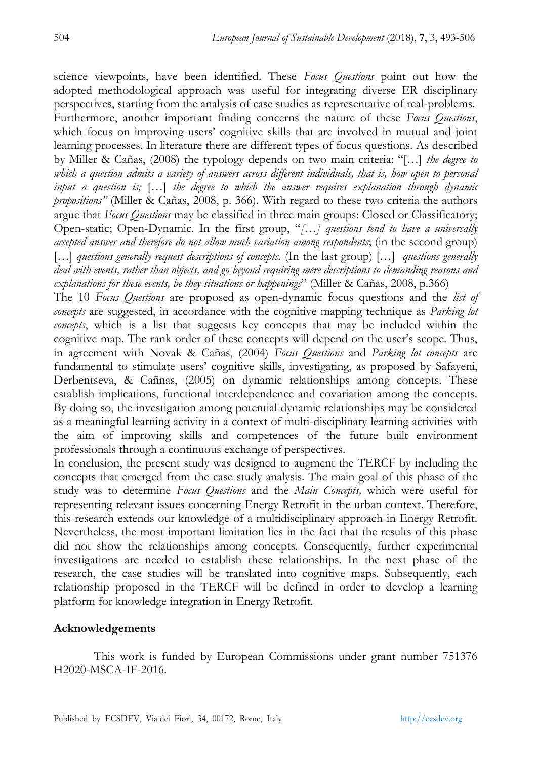science viewpoints, have been identified. These *Focus Questions* point out how the adopted methodological approach was useful for integrating diverse ER disciplinary perspectives, starting from the analysis of case studies as representative of real-problems. Furthermore, another important finding concerns the nature of these *Focus Questions*, which focus on improving users" cognitive skills that are involved in mutual and joint learning processes. In literature there are different types of focus questions. As described by Miller & Cañas, (2008) the typology depends on two main criteria: "[…] *the degree to which a question admits a variety of answers across different individuals, that is, how open to personal input a question is;* […] *the degree to which the answer requires explanation through dynamic propositions"* (Miller & Cañas, 2008, p. 366)*.* With regard to these two criteria the authors argue that *Focus Questions* may be classified in three main groups: Closed or Classificatory; Open-static; Open-Dynamic. In the first group, "*[…] questions tend to have a universally accepted answer and therefore do not allow much variation among respondents*; (in the second group) […] *questions generally request descriptions of concepts.* (In the last group) […] *questions generally deal with events, rather than objects, and go beyond requiring mere descriptions to demanding reasons and explanations for these events, be they situations or happenings*" (Miller & Cañas, 2008, p.366)

The 10 *Focus Questions* are proposed as open-dynamic focus questions and the *list of concepts* are suggested, in accordance with the cognitive mapping technique as *Parking lot concepts*, which is a list that suggests key concepts that may be included within the cognitive map. The rank order of these concepts will depend on the user's scope. Thus, in agreement with Novak & Cañas, (2004) *Focus Questions* and *Parking lot concepts* are fundamental to stimulate users" cognitive skills, investigating, as proposed by Safayeni, Derbentseva, & Cañnas, (2005) on dynamic relationships among concepts. These establish implications, functional interdependence and covariation among the concepts. By doing so, the investigation among potential dynamic relationships may be considered as a meaningful learning activity in a context of multi-disciplinary learning activities with the aim of improving skills and competences of the future built environment professionals through a continuous exchange of perspectives.

In conclusion, the present study was designed to augment the TERCF by including the concepts that emerged from the case study analysis. The main goal of this phase of the study was to determine *Focus Questions* and the *Main Concepts,* which were useful for representing relevant issues concerning Energy Retrofit in the urban context. Therefore, this research extends our knowledge of a multidisciplinary approach in Energy Retrofit. Nevertheless, the most important limitation lies in the fact that the results of this phase did not show the relationships among concepts. Consequently, further experimental investigations are needed to establish these relationships. In the next phase of the research, the case studies will be translated into cognitive maps. Subsequently, each relationship proposed in the TERCF will be defined in order to develop a learning platform for knowledge integration in Energy Retrofit.

#### **Acknowledgements**

This work is funded by European Commissions under grant number 751376 H2020-MSCA-IF-2016.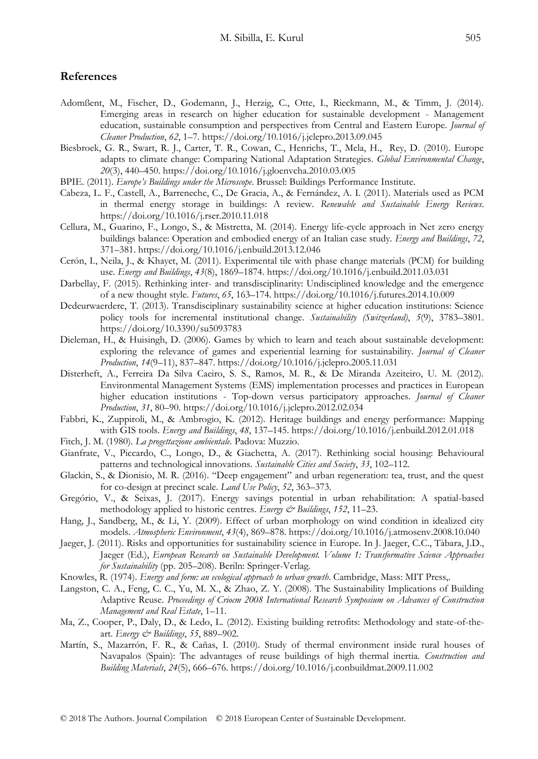#### **References**

- Adomßent, M., Fischer, D., Godemann, J., Herzig, C., Otte, I., Rieckmann, M., & Timm, J. (2014). Emerging areas in research on higher education for sustainable development - Management education, sustainable consumption and perspectives from Central and Eastern Europe. *Journal of Cleaner Production*, *62*, 1–7. https://doi.org/10.1016/j.jclepro.2013.09.045
- Biesbroek, G. R., Swart, R. J., Carter, T. R., Cowan, C., Henrichs, T., Mela, H., Rey, D. (2010). Europe adapts to climate change: Comparing National Adaptation Strategies. *Global Environmental Change*, *20*(3), 440–450. https://doi.org/10.1016/j.gloenvcha.2010.03.005
- BPIE. (2011). *Europe's Buildings under the Microscope*. Brussel: Buildings Performance Institute.
- Cabeza, L. F., Castell, A., Barreneche, C., De Gracia, A., & Fernández, A. I. (2011). Materials used as PCM in thermal energy storage in buildings: A review. *Renewable and Sustainable Energy Reviews*. https://doi.org/10.1016/j.rser.2010.11.018
- Cellura, M., Guarino, F., Longo, S., & Mistretta, M. (2014). Energy life-cycle approach in Net zero energy buildings balance: Operation and embodied energy of an Italian case study. *Energy and Buildings*, *72*, 371–381. https://doi.org/10.1016/j.enbuild.2013.12.046
- Cerón, I., Neila, J., & Khayet, M. (2011). Experimental tile with phase change materials (PCM) for building use. *Energy and Buildings*, *43*(8), 1869–1874. https://doi.org/10.1016/j.enbuild.2011.03.031
- Darbellay, F. (2015). Rethinking inter- and transdisciplinarity: Undisciplined knowledge and the emergence of a new thought style. *Futures*, *65*, 163–174. https://doi.org/10.1016/j.futures.2014.10.009
- Dedeurwaerdere, T. (2013). Transdisciplinary sustainability science at higher education institutions: Science policy tools for incremental institutional change. *Sustainability (Switzerland)*, *5*(9), 3783–3801. https://doi.org/10.3390/su5093783
- Dieleman, H., & Huisingh, D. (2006). Games by which to learn and teach about sustainable development: exploring the relevance of games and experiential learning for sustainability. *Journal of Cleaner Production*, *14*(9–11), 837–847. https://doi.org/10.1016/j.jclepro.2005.11.031
- Disterheft, A., Ferreira Da Silva Caeiro, S. S., Ramos, M. R., & De Miranda Azeiteiro, U. M. (2012). Environmental Management Systems (EMS) implementation processes and practices in European higher education institutions - Top-down versus participatory approaches. *Journal of Cleaner Production*, *31*, 80–90. https://doi.org/10.1016/j.jclepro.2012.02.034
- Fabbri, K., Zuppiroli, M., & Ambrogio, K. (2012). Heritage buildings and energy performance: Mapping with GIS tools. *Energy and Buildings*, *48*, 137–145. https://doi.org/10.1016/j.enbuild.2012.01.018
- Fitch, J. M. (1980). *La progettazione ambientale.* Padova: Muzzio.
- Gianfrate, V., Piccardo, C., Longo, D., & Giachetta, A. (2017). Rethinking social housing: Behavioural patterns and technological innovations. *Sustainable Cities and Society*, *33*, 102–112.
- Glackin, S., & Dionisio, M. R. (2016). "Deep engagement" and urban regeneration: tea, trust, and the quest for co-design at precinct scale. *Land Use Policy*, *52*, 363–373.
- Gregório, V., & Seixas, J. (2017). Energy savings potential in urban rehabilitation: A spatial-based methodology applied to historic centres. *Energy & Buildings*, *152*, 11–23.
- Hang, J., Sandberg, M., & Li, Y. (2009). Effect of urban morphology on wind condition in idealized city models. *Atmospheric Environment*, *43*(4), 869–878. https://doi.org/10.1016/j.atmosenv.2008.10.040
- Jaeger, J. (2011). Risks and opportunities for sustainability science in Europe. In J. Jaeger, C.C., Tàbara, J.D., Jaeger (Ed.), *European Research on Sustainable Development. Volume 1: Transformative Science Approaches for Sustainability* (pp. 205–208). Beriln: Springer-Verlag.
- Knowles, R. (1974). *Energy and form: an ecological approach to urban growth*. Cambridge, Mass: MIT Press,.
- Langston, C. A., Feng, C. C., Yu, M. X., & Zhao, Z. Y. (2008). The Sustainability Implications of Building Adaptive Reuse. *Proceedings of Criocm 2008 International Research Symposium on Advances of Construction Management and Real Estate*, 1–11.
- Ma, Z., Cooper, P., Daly, D., & Ledo, L. (2012). Existing building retrofits: Methodology and state-of-theart. *Energy & Buildings*, *55*, 889–902.
- Martín, S., Mazarrón, F. R., & Cañas, I. (2010). Study of thermal environment inside rural houses of Navapalos (Spain): The advantages of reuse buildings of high thermal inertia. *Construction and Building Materials*, *24*(5), 666–676. https://doi.org/10.1016/j.conbuildmat.2009.11.002